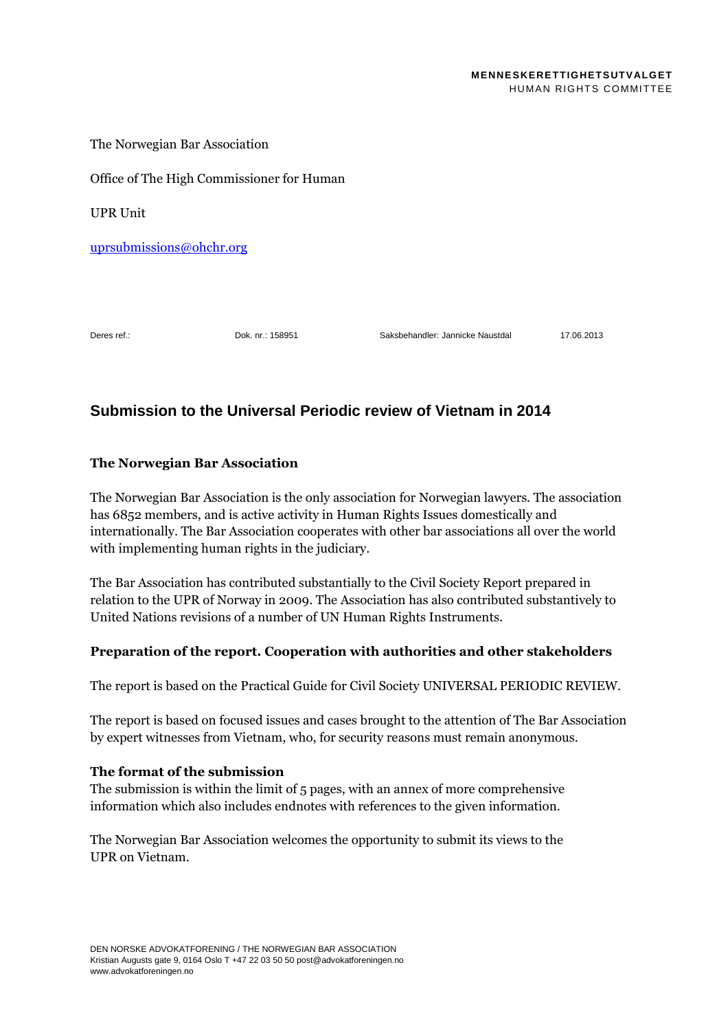The Norwegian Bar Association

Office of The High Commissioner for Human

UPR Unit

[uprsubmissions@ohchr.org](mailto:uprsubmissions@ohchr.org)

Deres ref.: Dok. nr.: 158951 Saksbehandler: Jannicke Naustdal 17.06.2013

# **Submission to the Universal Periodic review of Vietnam in 2014**

## **The Norwegian Bar Association**

The Norwegian Bar Association is the only association for Norwegian lawyers. The association has 6852 members, and is active activity in Human Rights Issues domestically and internationally. The Bar Association cooperates with other bar associations all over the world with implementing human rights in the judiciary.

The Bar Association has contributed substantially to the Civil Society Report prepared in relation to the UPR of Norway in 2009. The Association has also contributed substantively to United Nations revisions of a number of UN Human Rights Instruments.

## **Preparation of the report. Cooperation with authorities and other stakeholders**

The report is based on the Practical Guide for Civil Society UNIVERSAL PERIODIC REVIEW.

The report is based on focused issues and cases brought to the attention of The Bar Association by expert witnesses from Vietnam, who, for security reasons must remain anonymous.

### **The format of the submission**

The submission is within the limit of 5 pages, with an annex of more comprehensive information which also includes endnotes with references to the given information.

The Norwegian Bar Association welcomes the opportunity to submit its views to the UPR on Vietnam.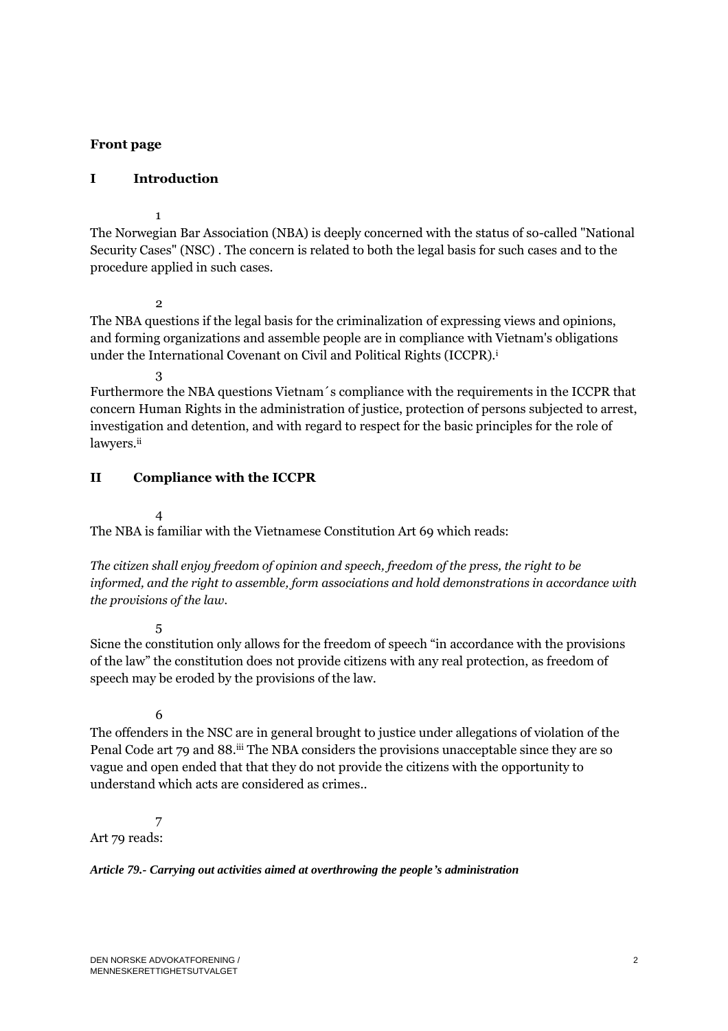## **Front page**

## **I Introduction**

1

The Norwegian Bar Association (NBA) is deeply concerned with the status of so-called "National Security Cases" (NSC) . The concern is related to both the legal basis for such cases and to the procedure applied in such cases.

2

The NBA questions if the legal basis for the criminalization of expressing views and opinions, and forming organizations and assemble people are in compliance with Vietnam's obligations under the International Covenant on Civil and Political Rights (ICCPR).<sup>i</sup>

3

Furthermore the NBA questions Vietnam´s compliance with the requirements in the ICCPR that concern Human Rights in the administration of justice, protection of persons subjected to arrest, investigation and detention, and with regard to respect for the basic principles for the role of lawyers.ii

## **II Compliance with the ICCPR**

4

The NBA is familiar with the Vietnamese Constitution Art 69 which reads:

*The citizen shall enjoy freedom of opinion and speech, freedom of the press, the right to be informed, and the right to assemble, form associations and hold demonstrations in accordance with the provisions of the law.*

5

Sicne the constitution only allows for the freedom of speech "in accordance with the provisions of the law" the constitution does not provide citizens with any real protection, as freedom of speech may be eroded by the provisions of the law.

6

The offenders in the NSC are in general brought to justice under allegations of violation of the Penal Code art 79 and 88.<sup>iii</sup> The NBA considers the provisions unacceptable since they are so vague and open ended that that they do not provide the citizens with the opportunity to understand which acts are considered as crimes..

7 Art 79 reads:

*Article 79.- Carrying out activities aimed at overthrowing the people's administration*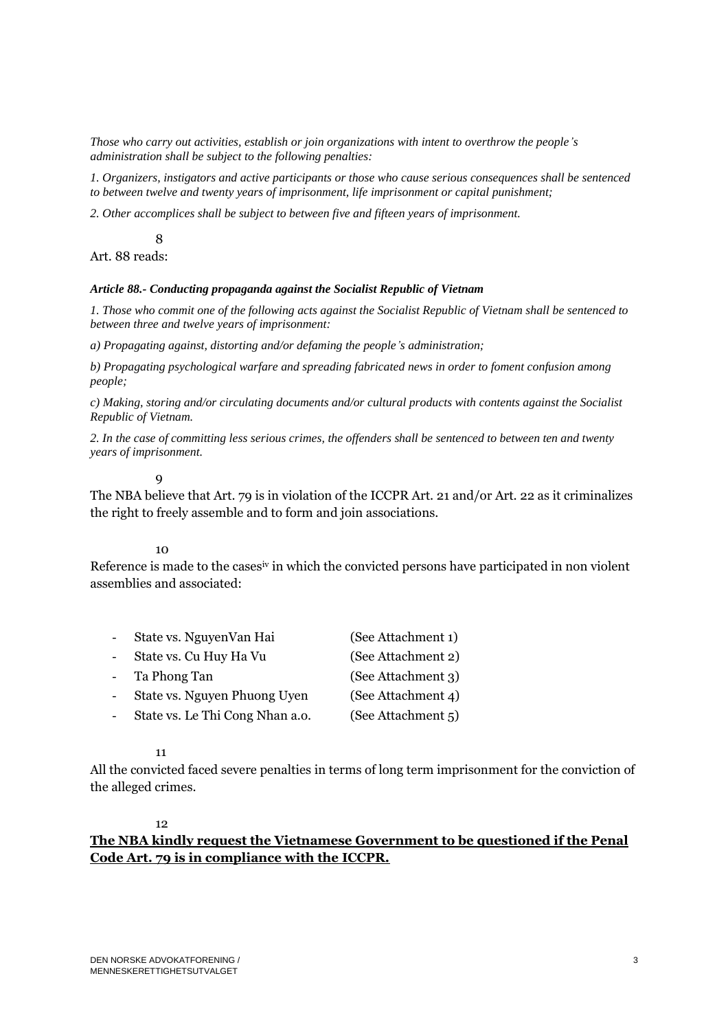*Those who carry out activities, establish or join organizations with intent to overthrow the people's administration shall be subject to the following penalties:*

*1. Organizers, instigators and active participants or those who cause serious consequences shall be sentenced to between twelve and twenty years of imprisonment, life imprisonment or capital punishment;*

*2. Other accomplices shall be subject to between five and fifteen years of imprisonment.*

8 Art. 88 reads:

#### *Article 88.- Conducting propaganda against the Socialist Republic of Vietnam*

*1. Those who commit one of the following acts against the Socialist Republic of Vietnam shall be sentenced to between three and twelve years of imprisonment:*

*a) Propagating against, distorting and/or defaming the people's administration;*

*b) Propagating psychological warfare and spreading fabricated news in order to foment confusion among people;*

*c) Making, storing and/or circulating documents and/or cultural products with contents against the Socialist Republic of Vietnam.*

*2. In the case of committing less serious crimes, the offenders shall be sentenced to between ten and twenty years of imprisonment.*

### $\alpha$

The NBA believe that Art. 79 is in violation of the ICCPR Art. 21 and/or Art. 22 as it criminalizes the right to freely assemble and to form and join associations.

10

Reference is made to the casesiv in which the convicted persons have participated in non violent assemblies and associated:

| $\mathbf{r}$       | State vs. NguyenVan Hai         | (See Attachment 1) |
|--------------------|---------------------------------|--------------------|
| $\sim$             | State vs. Cu Huy Ha Vu          | (See Attachment 2) |
| $\Delta \sim 10^4$ | Ta Phong Tan                    | (See Attachment 3) |
|                    | State vs. Nguyen Phuong Uyen    | (See Attachment 4) |
|                    | State vs. Le Thi Cong Nhan a.o. | (See Attachment 5) |
|                    |                                 |                    |

11

All the convicted faced severe penalties in terms of long term imprisonment for the conviction of the alleged crimes.

### 12

# **The NBA kindly request the Vietnamese Government to be questioned if the Penal Code Art. 79 is in compliance with the ICCPR.**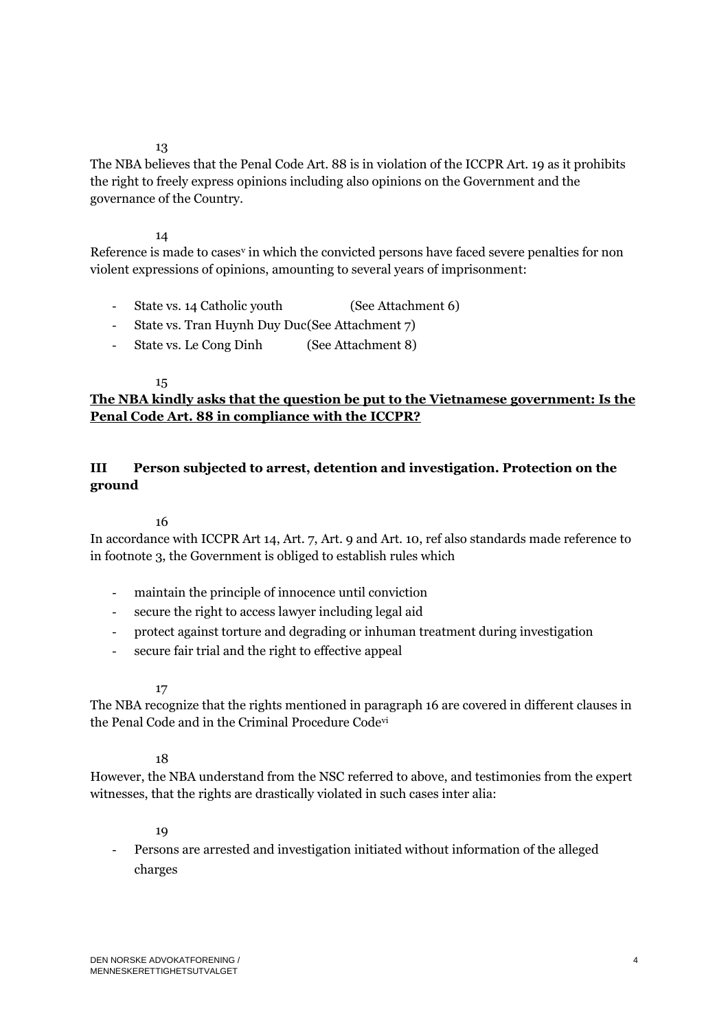### 13

The NBA believes that the Penal Code Art. 88 is in violation of the ICCPR Art. 19 as it prohibits the right to freely express opinions including also opinions on the Government and the governance of the Country.

## 14

Reference is made to cases<sup>y</sup> in which the convicted persons have faced severe penalties for non violent expressions of opinions, amounting to several years of imprisonment:

- State vs. 14 Catholic youth (See Attachment 6)
- State vs. Tran Huynh Duy Duc(See Attachment 7)
- State vs. Le Cong Dinh (See Attachment 8)

## 15

# **The NBA kindly asks that the question be put to the Vietnamese government: Is the Penal Code Art. 88 in compliance with the ICCPR?**

# **III Person subjected to arrest, detention and investigation. Protection on the ground**

## 16

In accordance with ICCPR Art 14, Art. 7, Art. 9 and Art. 10, ref also standards made reference to in footnote 3, the Government is obliged to establish rules which

- maintain the principle of innocence until conviction
- secure the right to access lawyer including legal aid
- protect against torture and degrading or inhuman treatment during investigation
- secure fair trial and the right to effective appeal

## 17

The NBA recognize that the rights mentioned in paragraph 16 are covered in different clauses in the Penal Code and in the Criminal Procedure Codevi

## 18

However, the NBA understand from the NSC referred to above, and testimonies from the expert witnesses, that the rights are drastically violated in such cases inter alia:

## 19

- Persons are arrested and investigation initiated without information of the alleged charges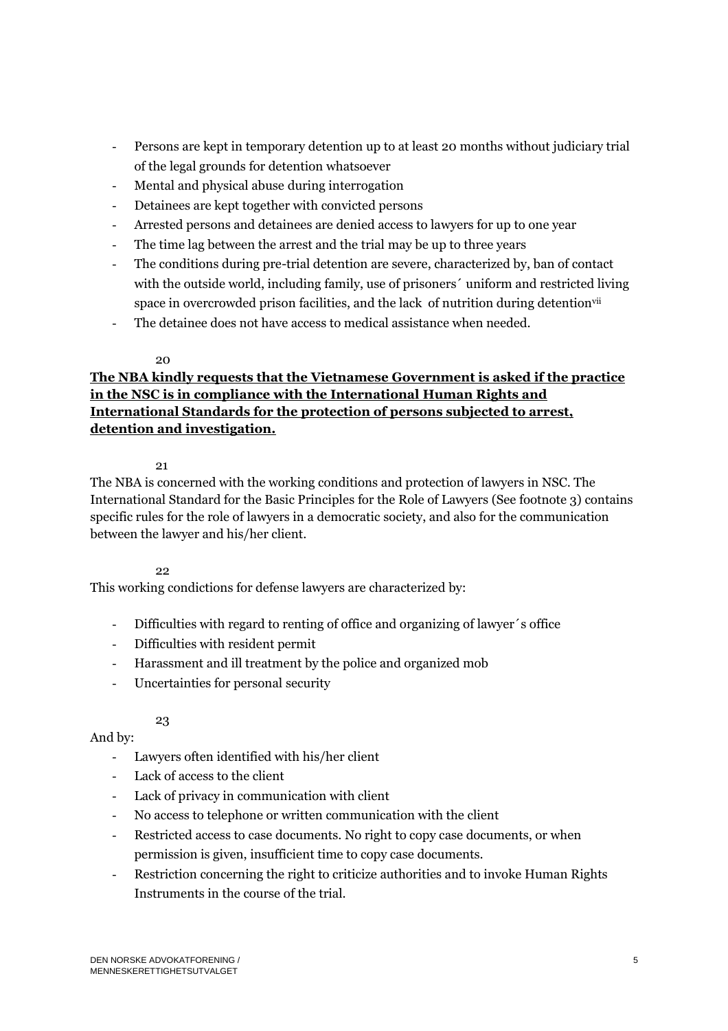- Persons are kept in temporary detention up to at least 20 months without judiciary trial of the legal grounds for detention whatsoever
- Mental and physical abuse during interrogation
- Detainees are kept together with convicted persons
- Arrested persons and detainees are denied access to lawyers for up to one year
- The time lag between the arrest and the trial may be up to three years
- The conditions during pre-trial detention are severe, characterized by, ban of contact with the outside world, including family, use of prisoners´ uniform and restricted living space in overcrowded prison facilities, and the lack of nutrition during detention<sup>vii</sup>
- The detainee does not have access to medical assistance when needed.

## 20

# **The NBA kindly requests that the Vietnamese Government is asked if the practice in the NSC is in compliance with the International Human Rights and International Standards for the protection of persons subjected to arrest, detention and investigation.**

## $21$

The NBA is concerned with the working conditions and protection of lawyers in NSC. The International Standard for the Basic Principles for the Role of Lawyers (See footnote 3) contains specific rules for the role of lawyers in a democratic society, and also for the communication between the lawyer and his/her client.

# 22

This working condictions for defense lawyers are characterized by:

- Difficulties with regard to renting of office and organizing of lawyer´s office
- Difficulties with resident permit
- Harassment and ill treatment by the police and organized mob
- Uncertainties for personal security

# 23

# And by:

- Lawyers often identified with his/her client
- Lack of access to the client
- Lack of privacy in communication with client
- No access to telephone or written communication with the client
- Restricted access to case documents. No right to copy case documents, or when permission is given, insufficient time to copy case documents.
- Restriction concerning the right to criticize authorities and to invoke Human Rights Instruments in the course of the trial.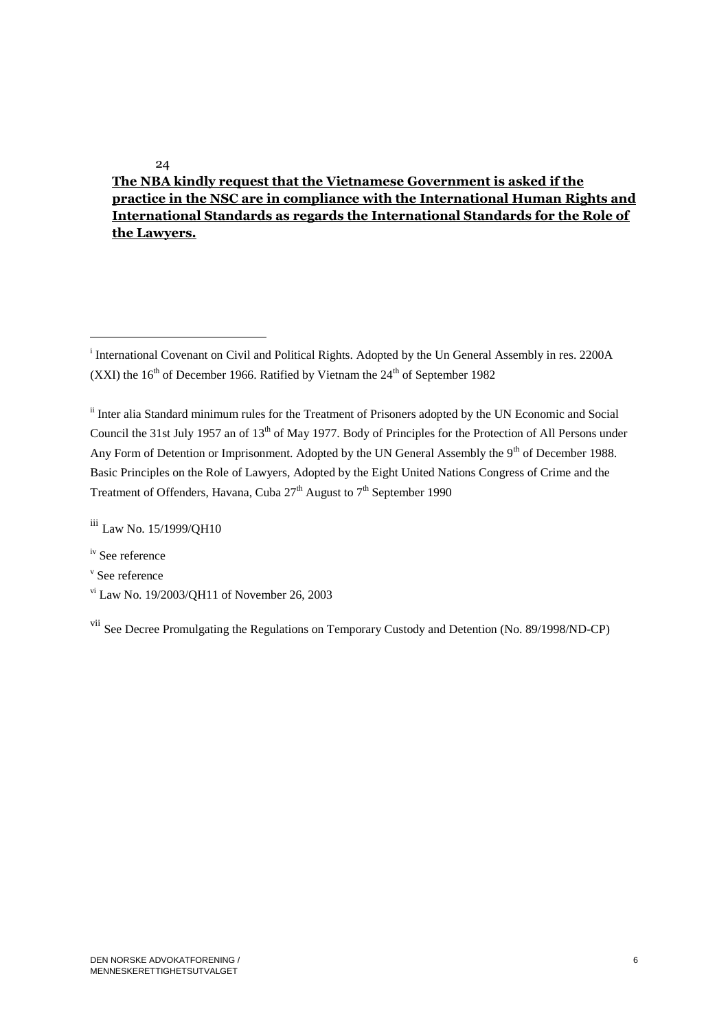# **The NBA kindly request that the Vietnamese Government is asked if the practice in the NSC are in compliance with the International Human Rights and International Standards as regards the International Standards for the Role of the Lawyers.**

iii Law No. 15/1999/QH10

iv See reference

 $\overline{a}$ 

v See reference

vi Law No. 19/2003/QH11 of November 26, 2003

vii See Decree Promulgating the Regulations on Temporary Custody and Detention (No. 89/1998/ND-CP)

24

<sup>&</sup>lt;sup>i</sup> International Covenant on Civil and Political Rights. Adopted by the Un General Assembly in res. 2200A (XXI) the  $16<sup>th</sup>$  of December 1966. Ratified by Vietnam the  $24<sup>th</sup>$  of September 1982

ii Inter alia Standard minimum rules for the Treatment of Prisoners adopted by the UN Economic and Social Council the 31st July 1957 an of 13<sup>th</sup> of May 1977. Body of Principles for the Protection of All Persons under Any Form of Detention or Imprisonment. Adopted by the UN General Assembly the  $9<sup>th</sup>$  of December 1988. Basic Principles on the Role of Lawyers, Adopted by the Eight United Nations Congress of Crime and the Treatment of Offenders, Havana, Cuba  $27<sup>th</sup>$  August to  $7<sup>th</sup>$  September 1990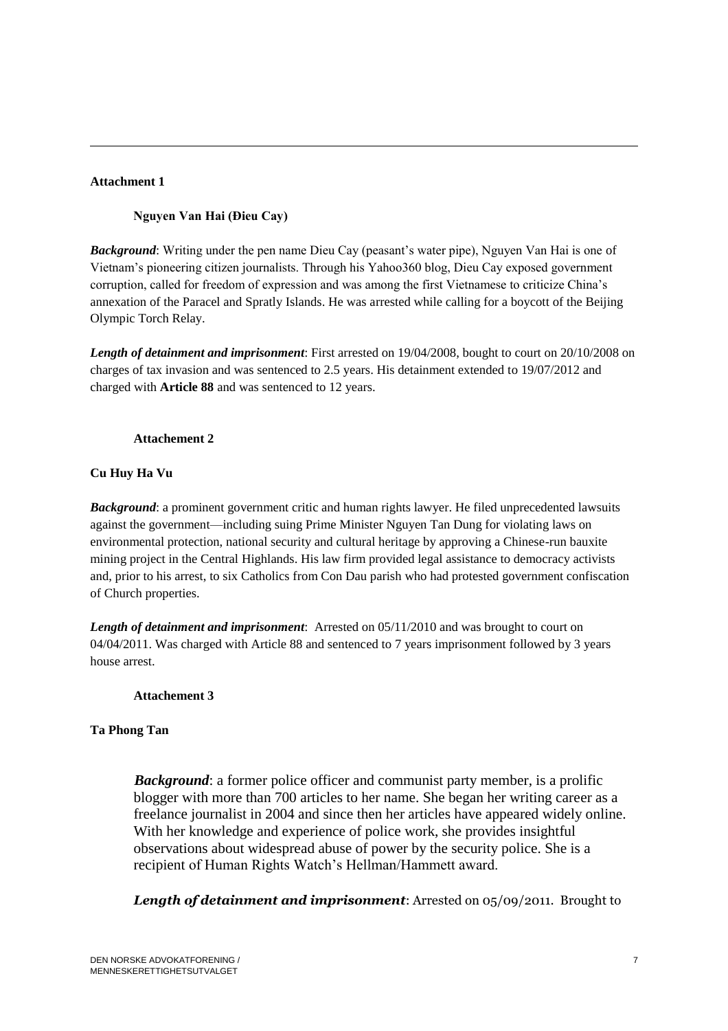### **Attachment 1**

 $\overline{a}$ 

## **Nguyen Van Hai (Đieu Cay)**

*Background*: Writing under the pen name Dieu Cay (peasant's water pipe), Nguyen Van Hai is one of Vietnam's pioneering citizen journalists. Through his Yahoo360 blog, Dieu Cay exposed government corruption, called for freedom of expression and was among the first Vietnamese to criticize China's annexation of the Paracel and Spratly Islands. He was arrested while calling for a boycott of the Beijing Olympic Torch Relay.

*Length of detainment and imprisonment*: First arrested on 19/04/2008, bought to court on 20/10/2008 on charges of tax invasion and was sentenced to 2.5 years. His detainment extended to 19/07/2012 and charged with **Article 88** and was sentenced to 12 years.

### **Attachement 2**

## **Cu Huy Ha Vu**

*Background*: a prominent government critic and human rights lawyer. He filed unprecedented lawsuits against the government—including suing Prime Minister Nguyen Tan Dung for violating laws on environmental protection, national security and cultural heritage by approving a Chinese-run bauxite mining project in the Central Highlands. His law firm provided legal assistance to democracy activists and, prior to his arrest, to six Catholics from Con Dau parish who had protested government confiscation of Church properties.

*Length of detainment and imprisonment*: Arrested on 05/11/2010 and was brought to court on 04/04/2011. Was charged with Article 88 and sentenced to 7 years imprisonment followed by 3 years house arrest.

### **Attachement 3**

## **Ta Phong Tan**

*Background*: a former police officer and communist party member, is a prolific blogger with more than 700 articles to her name. She began her writing career as a freelance journalist in 2004 and since then her articles have appeared widely online. With her knowledge and experience of police work, she provides insightful observations about widespread abuse of power by the security police. She is a recipient of Human Rights Watch's Hellman/Hammett award.

*Length of detainment and imprisonment*: Arrested on 05/09/2011. Brought to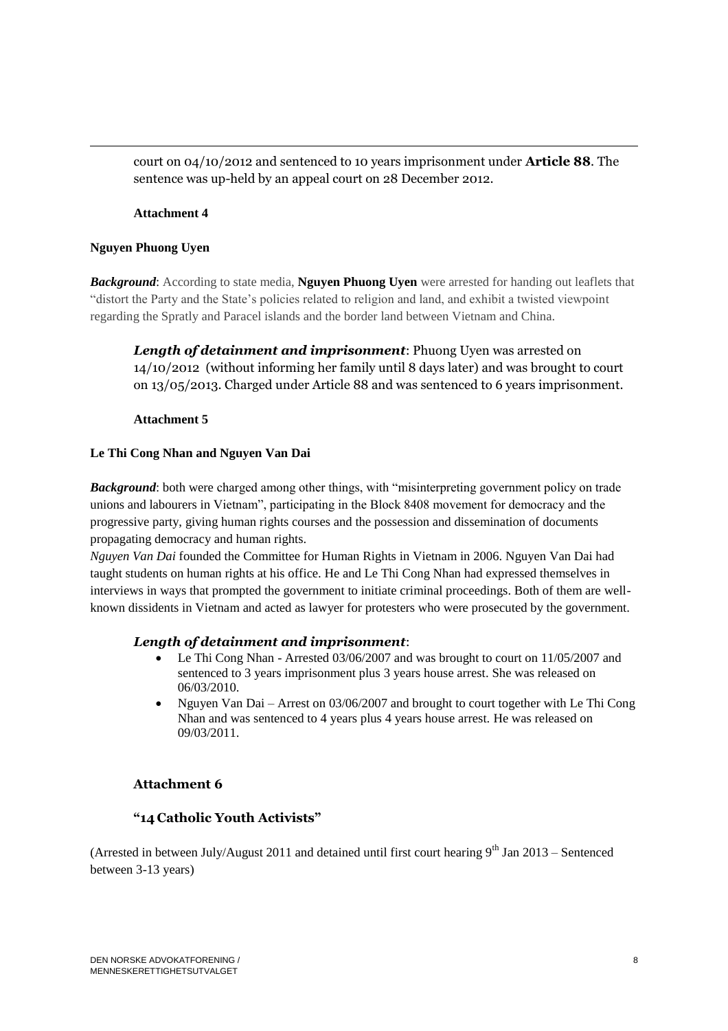court on 04/10/2012 and sentenced to 10 years imprisonment under **Article 88**. The sentence was up-held by an appeal court on 28 December 2012.

### **Attachment 4**

### **Nguyen Phuong Uyen**

 $\overline{a}$ 

*Background*: According to state media, **Nguyen Phuong Uyen** were arrested for handing out leaflets that "distort the Party and the State's policies related to religion and land, and exhibit a twisted viewpoint regarding the Spratly and Paracel islands and the border land between Vietnam and China.

*Length of detainment and imprisonment*: Phuong Uyen was arrested on 14/10/2012 (without informing her family until 8 days later) and was brought to court on 13/05/2013. Charged under Article 88 and was sentenced to 6 years imprisonment.

#### **Attachment 5**

### **Le Thi Cong Nhan and Nguyen Van Dai**

*Background*: both were charged among other things, with "misinterpreting government policy on trade unions and labourers in Vietnam", participating in the Block 8408 movement for democracy and the progressive party, giving human rights courses and the possession and dissemination of documents propagating democracy and human rights.

*Nguyen Van Dai* founded the Committee for Human Rights in Vietnam in 2006. Nguyen Van Dai had taught students on human rights at his office. He and Le Thi Cong Nhan had expressed themselves in interviews in ways that prompted the government to initiate criminal proceedings. Both of them are wellknown dissidents in Vietnam and acted as lawyer for protesters who were prosecuted by the government.

### *Length of detainment and imprisonment*:

- Le Thi Cong Nhan Arrested 03/06/2007 and was brought to court on 11/05/2007 and sentenced to 3 years imprisonment plus 3 years house arrest. She was released on 06/03/2010.
- Nguyen Van Dai Arrest on 03/06/2007 and brought to court together with Le Thi Cong Nhan and was sentenced to 4 years plus 4 years house arrest. He was released on 09/03/2011.

### **Attachment 6**

### **"14 Catholic Youth Activists"**

(Arrested in between July/August 2011 and detained until first court hearing  $9^{th}$  Jan 2013 – Sentenced between 3-13 years)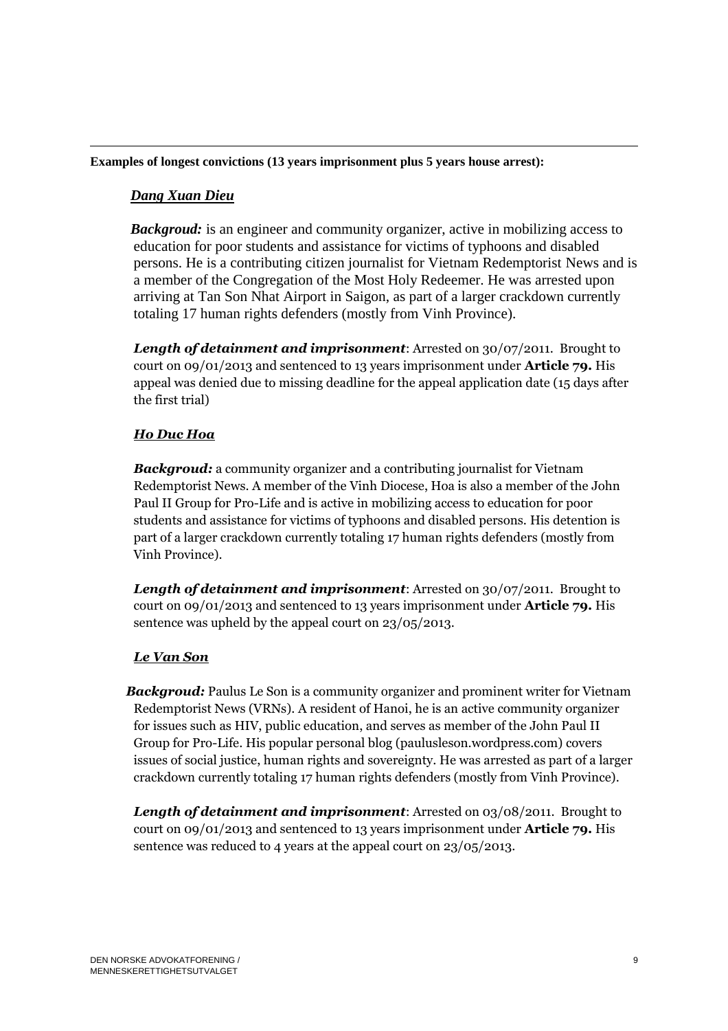## **Examples of longest convictions (13 years imprisonment plus 5 years house arrest):**

## *Dang Xuan Dieu*

 $\overline{a}$ 

 *Backgroud:* is an engineer and community organizer, active in mobilizing access to education for poor students and assistance for victims of typhoons and disabled persons. He is a contributing citizen journalist for Vietnam Redemptorist News and is a member of the Congregation of the Most Holy Redeemer. He was arrested upon arriving at Tan Son Nhat Airport in Saigon, as part of a larger crackdown currently totaling 17 human rights defenders (mostly from Vinh Province).

*Length of detainment and imprisonment*: Arrested on 30/07/2011. Brought to court on 09/01/2013 and sentenced to 13 years imprisonment under **Article 79.** His appeal was denied due to missing deadline for the appeal application date (15 days after the first trial)

## *Ho Duc Hoa*

*Backgroud:* a community organizer and a contributing journalist for Vietnam Redemptorist News. A member of the Vinh Diocese, Hoa is also a member of the John Paul II Group for Pro-Life and is active in mobilizing access to education for poor students and assistance for victims of typhoons and disabled persons. His detention is part of a larger crackdown currently totaling 17 human rights defenders (mostly from Vinh Province).

*Length of detainment and imprisonment*: Arrested on 30/07/2011. Brought to court on 09/01/2013 and sentenced to 13 years imprisonment under **Article 79.** His sentence was upheld by the appeal court on 23/05/2013.

## *Le Van Son*

 *Backgroud:* Paulus Le Son is a community organizer and prominent writer for Vietnam Redemptorist News (VRNs). A resident of Hanoi, he is an active community organizer for issues such as HIV, public education, and serves as member of the John Paul II Group for Pro-Life. His popular personal blog (paulusleson.wordpress.com) covers issues of social justice, human rights and sovereignty. He was arrested as part of a larger crackdown currently totaling 17 human rights defenders (mostly from Vinh Province).

*Length of detainment and imprisonment*: Arrested on 03/08/2011. Brought to court on 09/01/2013 and sentenced to 13 years imprisonment under **Article 79.** His sentence was reduced to 4 years at the appeal court on 23/05/2013.